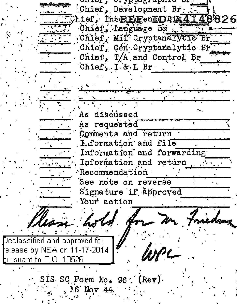which a cranged speaking of Chief, Development Br. Chief,  $Int$ REEenLDIA $\overline{4148826}$ chier, Language Big<br>Chier, Mil' Cryptanalysis Br Chief, Gen Cryptanalytic Br Chief, T/A and Control Br Chief. I & L Br As discussed As requested Comments and return Liformation and file Information and forwarding Information and return  $\cdot$  Recommendation See note on reverse Signature if approved Your action Declassified and approved for elease by NSA on 11-17-2014 bursuant to E.O. 13526 SIS SC Form No. 96 (Rev) 16 Nov 44.